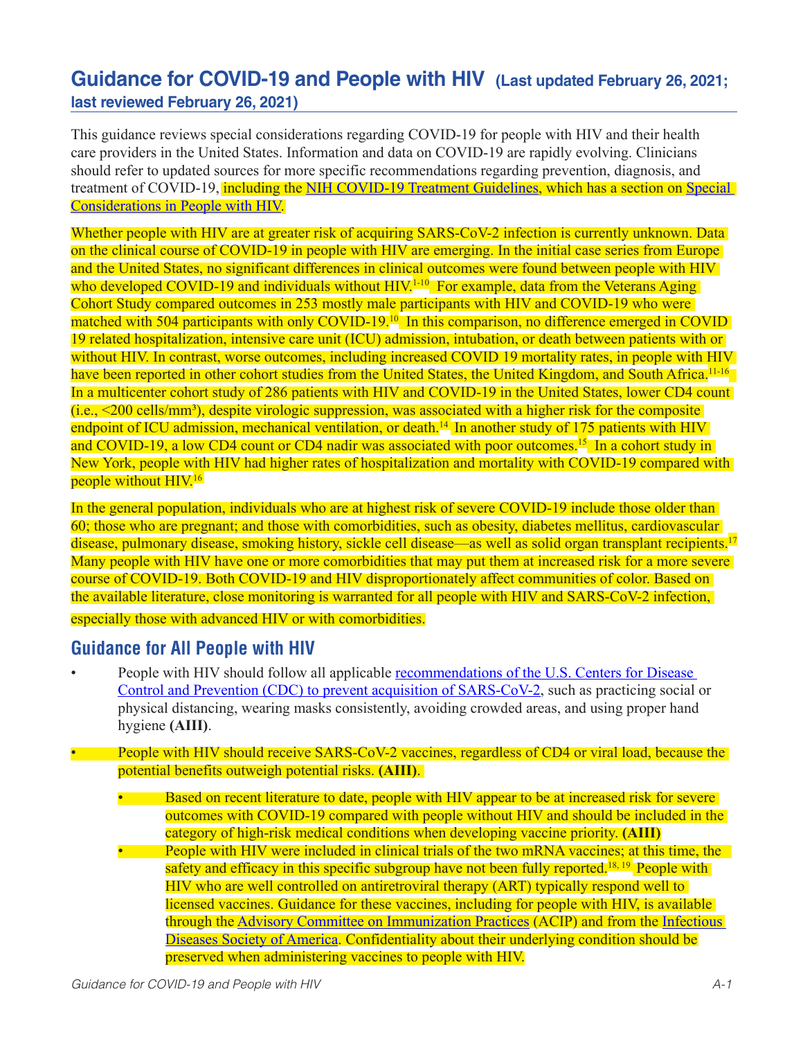# **Guidance for COVID-19 and People with HIV (Last updated February 26, 2021; last reviewed February 26, 2021)**

This guidance reviews special considerations regarding COVID-19 for people with HIV and their health care providers in the United States. Information and data on COVID-19 are rapidly evolving. Clinicians should refer to updated sources for more specific recommendations regarding prevention, diagnosis, and treatment of COVID-19, including the [NIH COVID-19 Treatment Guidelines,](https://www.covid19treatmentguidelines.nih.gov/) which has a section on Special [Considerations in People with HIV](https://www.covid19treatmentguidelines.nih.gov/special-populations/hiv/).

Whether people with HIV are at greater risk of acquiring SARS-CoV-2 infection is currently unknown. Data on the clinical course of COVID-19 in people with HIV are emerging. In the initial case series from Europe and the United States, no significant differences in clinical outcomes were found between people with HIV who developed COVID-19 and individuals without HIV.<sup>1-10</sup> For example, data from the Veterans Aging Cohort Study compared outcomes in 253 mostly male participants with HIV and COVID-19 who were matched with 504 participants with only COVID-19.<sup>10</sup> In this comparison, no difference emerged in COVID 19 related hospitalization, intensive care unit (ICU) admission, intubation, or death between patients with or without HIV. In contrast, worse outcomes, including increased COVID 19 mortality rates, in people with HIV have been reported in other cohort studies from the United States, the United Kingdom, and South Africa.<sup>11-16</sup> In a multicenter cohort study of 286 patients with HIV and COVID-19 in the United States, lower CD4 count  $(i.e.,  $200$  cells/mm<sup>3</sup>), despite virologic suppression, was associated with a higher risk for the composite$ endpoint of ICU admission, mechanical ventilation, or death.<sup>14</sup> In another study of 175 patients with HIV and COVID-19, a low CD4 count or CD4 nadir was associated with poor outcomes.<sup>15</sup> In a cohort study in New York, people with HIV had higher rates of hospitalization and mortality with COVID-19 compared with people without HIV.<sup>16</sup>

In the general population, individuals who are at highest risk of severe COVID-19 include those older than 60; those who are pregnant; and those with comorbidities, such as obesity, diabetes mellitus, cardiovascular disease, pulmonary disease, smoking history, sickle cell disease—as well as solid organ transplant recipients.<sup>17</sup> Many people with HIV have one or more comorbidities that may put them at increased risk for a more severe course of COVID-19. Both COVID-19 and HIV disproportionately affect communities of color. Based on the available literature, close monitoring is warranted for all people with HIV and SARS-CoV-2 infection, especially those with advanced HIV or with comorbidities.

### **Guidance for All People with HIV**

- People with HIV should follow all applicable [recommendations of the U.S. Centers for Disease](https://www.cdc.gov/coronavirus/2019-ncov/prevent-getting-sick/prevention.html)  [Control and Prevention \(CDC\) to prevent acquisition of SARS-CoV-2](https://www.cdc.gov/coronavirus/2019-ncov/prevent-getting-sick/prevention.html), such as practicing social or physical distancing, wearing masks consistently, avoiding crowded areas, and using proper hand hygiene **(AIII)**.
- People with HIV should receive SARS-CoV-2 vaccines, regardless of CD4 or viral load, because the potential benefits outweigh potential risks. **(AIII)**.
	- Based on recent literature to date, people with HIV appear to be at increased risk for severe outcomes with COVID-19 compared with people without HIV and should be included in the category of high-risk medical conditions when developing vaccine priority. **(AIII)** • People with HIV were included in clinical trials of the two mRNA vaccines; at this time, the safety and efficacy in this specific subgroup have not been fully reported.<sup>18, 19</sup> People with HIV who are well controlled on antiretroviral therapy (ART) typically respond well to licensed vaccines. Guidance for these vaccines, including for people with HIV, is available through the [Advisory Committee on Immunization Practices](https://www.cdc.gov/vaccines/hcp/acip-recs/vacc-specific/covid-19.html) (ACIP) and from the [Infectious](https://www.idsociety.org/globalassets/idsa/public-health/covid-19/covid-19-vaccines-hiv-faq.pdf)  [Diseases Society of America.](https://www.idsociety.org/globalassets/idsa/public-health/covid-19/covid-19-vaccines-hiv-faq.pdf) Confidentiality about their underlying condition should be preserved when administering vaccines to people with HIV.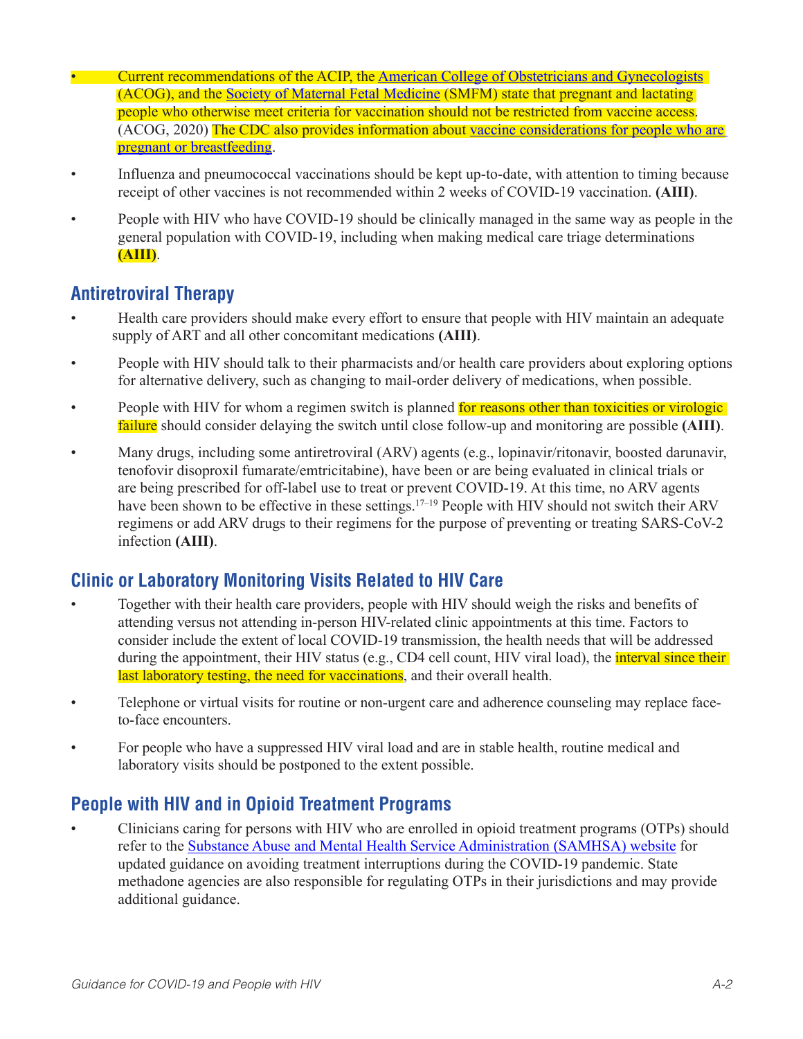- Current recommendations of the ACIP, the [American College of Obstetricians and Gynecologists](https://www.acog.org/clinical/clinical-guidance/practice-advisory/articles/2020/12/vaccinating-pregnant-and-lactating-patients-against-covid-19) (ACOG), and the [Society of Maternal Fetal Medicine](https://www.acog.org/news/news-releases/2021/01/acog-and-smfm-joint-statement-on-who-recommendations-regarding-covid-19-vaccines-and-pregnant-individuals) (SMFM) state that pregnant and lactating people who otherwise meet criteria for vaccination should not be restricted from vaccine access. (ACOG, 2020) The CDC also provides information about vaccine considerations for people who are [pregnant or breastfeeding.](https://www.cdc.gov/coronavirus/2019-ncov/vaccines/recommendations/pregnancy.html)
- Influenza and pneumococcal vaccinations should be kept up-to-date, with attention to timing because receipt of other vaccines is not recommended within 2 weeks of COVID-19 vaccination. **(AIII)**.
- People with HIV who have COVID-19 should be clinically managed in the same way as people in the general population with COVID-19, including when making medical care triage determinations **(AIII)**.

### **Antiretroviral Therapy**

- Health care providers should make every effort to ensure that people with HIV maintain an adequate supply of ART and all other concomitant medications **(AIII)**.
- People with HIV should talk to their pharmacists and/or health care providers about exploring options for alternative delivery, such as changing to mail-order delivery of medications, when possible.
- People with HIV for whom a regimen switch is planned for reasons other than toxicities or virologic failure should consider delaying the switch until close follow-up and monitoring are possible **(AIII)**.
- Many drugs, including some antiretroviral (ARV) agents (e.g., lopinavir/ritonavir, boosted darunavir, tenofovir disoproxil fumarate/emtricitabine), have been or are being evaluated in clinical trials or are being prescribed for off-label use to treat or prevent COVID-19. At this time, no ARV agents have been shown to be effective in these settings.<sup>17–19</sup> People with HIV should not switch their ARV regimens or add ARV drugs to their regimens for the purpose of preventing or treating SARS-CoV-2 infection **(AIII)**.

## **Clinic or Laboratory Monitoring Visits Related to HIV Care**

- Together with their health care providers, people with HIV should weigh the risks and benefits of attending versus not attending in-person HIV-related clinic appointments at this time. Factors to consider include the extent of local COVID-19 transmission, the health needs that will be addressed during the appointment, their HIV status (e.g., CD4 cell count, HIV viral load), the *interval since their* last laboratory testing, the need for vaccinations, and their overall health.
- Telephone or virtual visits for routine or non-urgent care and adherence counseling may replace faceto-face encounters.
- For people who have a suppressed HIV viral load and are in stable health, routine medical and laboratory visits should be postponed to the extent possible.

## **People with HIV and in Opioid Treatment Programs**

• Clinicians caring for persons with HIV who are enrolled in opioid treatment programs (OTPs) should refer to the [Substance Abuse and Mental Health Service Administration \(SAMHSA\) website](https://www.samhsa.gov/medication-assisted-treatment/statutes-regulations-guidelines/covid-19-guidance-otp) for updated guidance on avoiding treatment interruptions during the COVID-19 pandemic. State methadone agencies are also responsible for regulating OTPs in their jurisdictions and may provide additional guidance.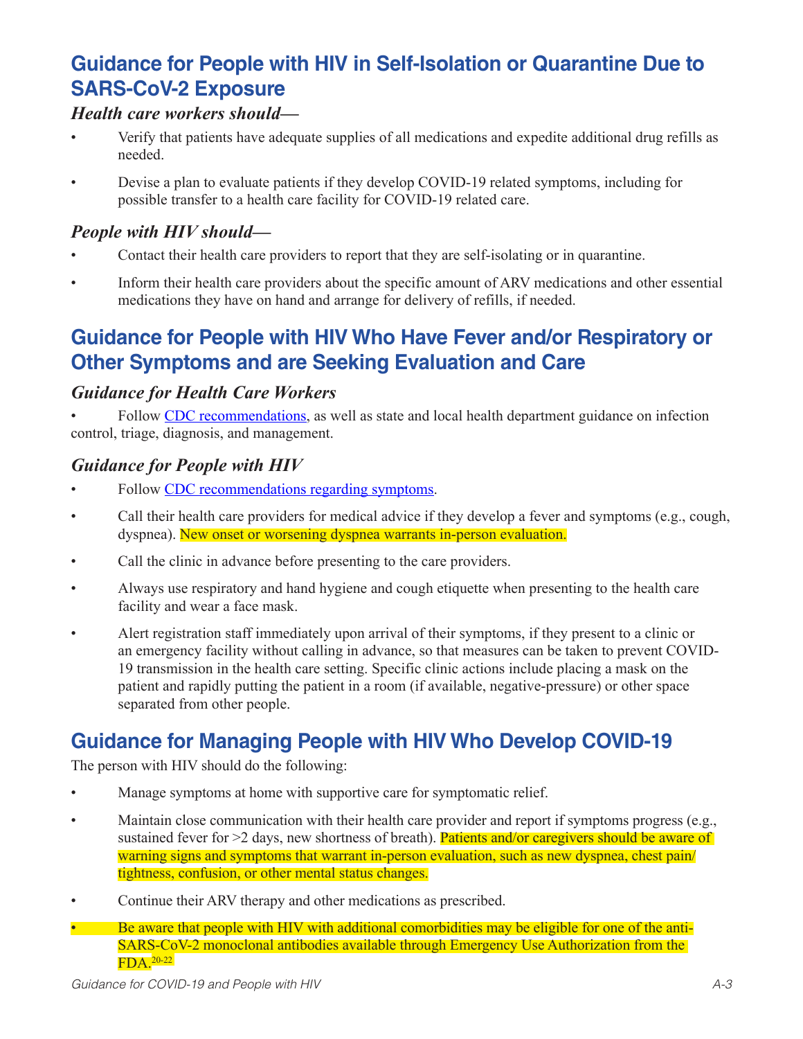# **Guidance for People with HIV in Self-Isolation or Quarantine Due to SARS-CoV-2 Exposure**

#### *Health care workers should—*

- Verify that patients have adequate supplies of all medications and expedite additional drug refills as needed.
- Devise a plan to evaluate patients if they develop COVID-19 related symptoms, including for possible transfer to a health care facility for COVID-19 related care.

### *People with HIV should—*

- Contact their health care providers to report that they are self-isolating or in quarantine.
- Inform their health care providers about the specific amount of ARV medications and other essential medications they have on hand and arrange for delivery of refills, if needed.

# **Guidance for People with HIV Who Have Fever and/or Respiratory or Other Symptoms and are Seeking Evaluation and Care**

### *Guidance for Health Care Workers*

• Follow [CDC recommendations,](https://www.cdc.gov/coronavirus/2019-ncov/hcp/infection-control-recommendations.html) as well as state and local health department guidance on infection control, triage, diagnosis, and management.

### *Guidance for People with HIV*

- Follow [CDC recommendations regarding symptoms.](https://www.cdc.gov/coronavirus/2019-ncov/symptoms-testing/symptoms.html)
- Call their health care providers for medical advice if they develop a fever and symptoms (e.g., cough, dyspnea). New onset or worsening dyspnea warrants in-person evaluation.
- Call the clinic in advance before presenting to the care providers.
- Always use respiratory and hand hygiene and cough etiquette when presenting to the health care facility and wear a face mask.
- Alert registration staff immediately upon arrival of their symptoms, if they present to a clinic or an emergency facility without calling in advance, so that measures can be taken to prevent COVID-19 transmission in the health care setting. Specific clinic actions include placing a mask on the patient and rapidly putting the patient in a room (if available, negative-pressure) or other space separated from other people.

# **Guidance for Managing People with HIV Who Develop COVID-19**

The person with HIV should do the following:

- Manage symptoms at home with supportive care for symptomatic relief.
- Maintain close communication with their health care provider and report if symptoms progress (e.g., sustained fever for >2 days, new shortness of breath). Patients and/or caregivers should be aware of warning signs and symptoms that warrant in-person evaluation, such as new dyspnea, chest pain/ tightness, confusion, or other mental status changes.
- Continue their ARV therapy and other medications as prescribed.
- Be aware that people with HIV with additional comorbidities may be eligible for one of the anti-SARS-CoV-2 monoclonal antibodies available through Emergency Use Authorization from the FDA.20-22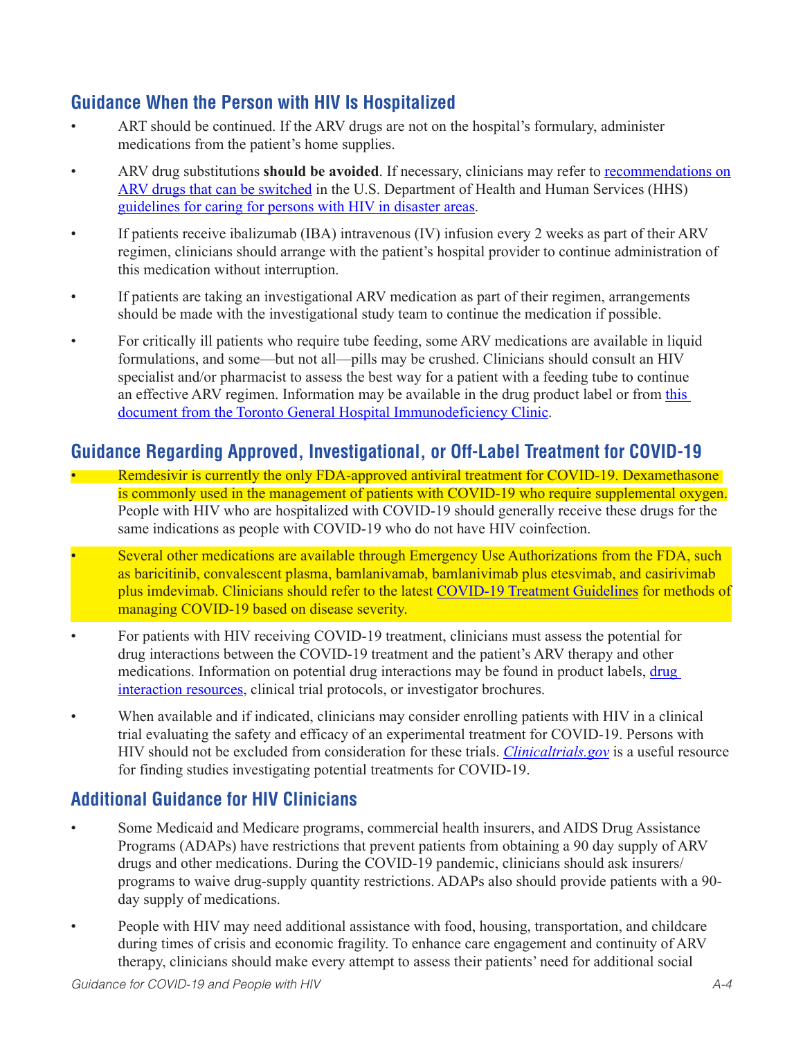# **Guidance When the Person with HIV Is Hospitalized**

- ART should be continued. If the ARV drugs are not on the hospital's formulary, administer medications from the patient's home supplies.
- ARV drug substitutions should be avoided. If necessary, clinicians may refer to recommendations on [ARV drugs that can be switched](https://clinicalinfo.hiv.gov/en/guidelines/caring-persons-hiv-disaster-areas/appendix-c-antiretroviral-medications-can-be-switched?view=full) in the U.S. Department of Health and Human Services (HHS) [guidelines for caring for persons with HIV in disaster areas](https://clinicalinfo.hiv.gov/en/guidelines/caring-persons-hiv-disaster-areas/guidance-non-hiv-specialized-providers-caring-persons).
- If patients receive ibalizumab (IBA) intravenous (IV) infusion every 2 weeks as part of their ARV regimen, clinicians should arrange with the patient's hospital provider to continue administration of this medication without interruption.
- If patients are taking an investigational ARV medication as part of their regimen, arrangements should be made with the investigational study team to continue the medication if possible.
- For critically ill patients who require tube feeding, some ARV medications are available in liquid formulations, and some—but not all—pills may be crushed. Clinicians should consult an HIV specialist and/or pharmacist to assess the best way for a patient with a feeding tube to continue an effective ARV regimen. Information may be available in the drug product label or from [this](https://www.hivclinic.ca/main/drugs_extra_files/Crushing and Liquid ARV Formulations.pdf)  [document from the Toronto General Hospital Immunodeficiency Clinic](https://www.hivclinic.ca/main/drugs_extra_files/Crushing and Liquid ARV Formulations.pdf).

## **Guidance Regarding Approved, Investigational, or Off-Label Treatment for COVID-19**

- Remdesivir is currently the only FDA-approved antiviral treatment for COVID-19. Dexamethasone is commonly used in the management of patients with COVID-19 who require supplemental oxygen. People with HIV who are hospitalized with COVID-19 should generally receive these drugs for the same indications as people with COVID-19 who do not have HIV coinfection.
- Several other medications are available through Emergency Use Authorizations from the FDA, such as baricitinib, convalescent plasma, bamlanivamab, bamlanivimab plus etesvimab, and casirivimab plus imdevimab. Clinicians should refer to the latest [COVID-19 Treatment Guidelines](https://www.covid19treatmentguidelines.nih.gov/) for methods of managing COVID-19 based on disease severity.
- For patients with HIV receiving COVID-19 treatment, clinicians must assess the potential for drug interactions between the COVID-19 treatment and the patient's ARV therapy and other medications. Information on potential drug interactions may be found in product labels, [drug](https://www.covid19-druginteractions.org/)  [interaction resources](https://www.covid19-druginteractions.org/), clinical trial protocols, or investigator brochures.
- When available and if indicated, clinicians may consider enrolling patients with HIV in a clinical trial evaluating the safety and efficacy of an experimental treatment for COVID-19. Persons with HIV should not be excluded from consideration for these trials. *[Clinicaltrials.gov](https://clinicaltrials.gov/)* is a useful resource for finding studies investigating potential treatments for COVID-19.

# **Additional Guidance for HIV Clinicians**

- Some Medicaid and Medicare programs, commercial health insurers, and AIDS Drug Assistance Programs (ADAPs) have restrictions that prevent patients from obtaining a 90 day supply of ARV drugs and other medications. During the COVID-19 pandemic, clinicians should ask insurers/ programs to waive drug-supply quantity restrictions. ADAPs also should provide patients with a 90 day supply of medications.
- People with HIV may need additional assistance with food, housing, transportation, and childcare during times of crisis and economic fragility. To enhance care engagement and continuity of ARV therapy, clinicians should make every attempt to assess their patients' need for additional social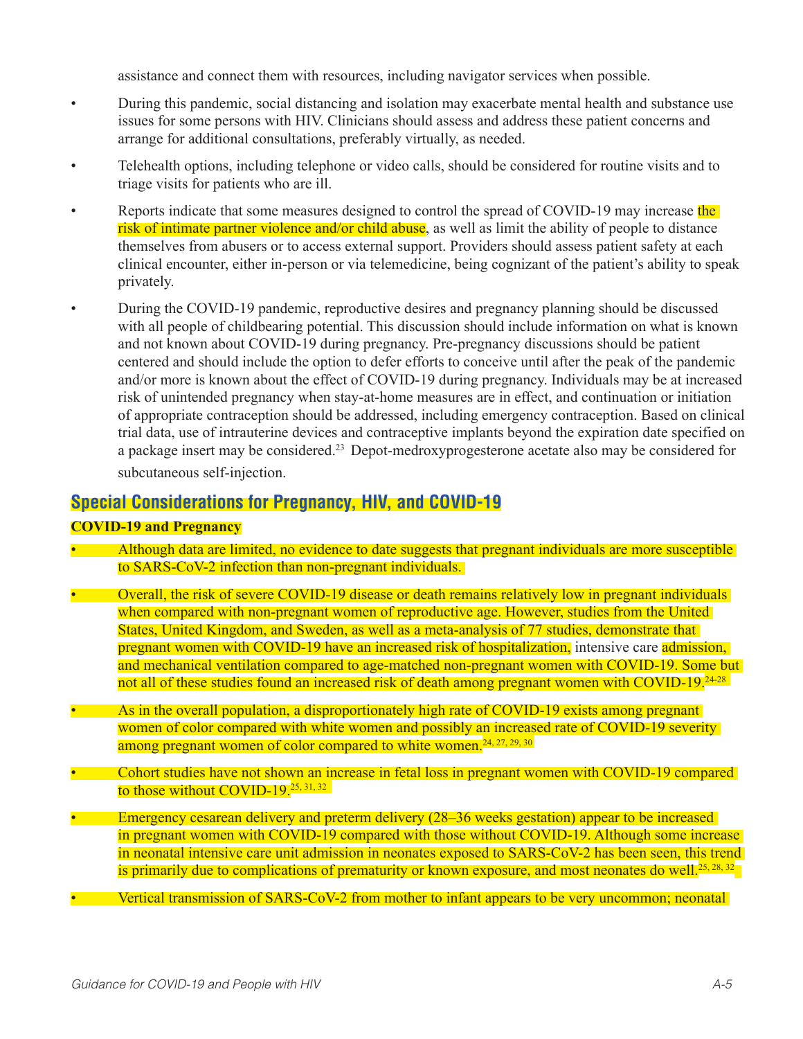assistance and connect them with resources, including navigator services when possible.

- During this pandemic, social distancing and isolation may exacerbate mental health and substance use issues for some persons with HIV. Clinicians should assess and address these patient concerns and arrange for additional consultations, preferably virtually, as needed.
- Telehealth options, including telephone or video calls, should be considered for routine visits and to triage visits for patients who are ill.
- Reports indicate that some measures designed to control the spread of COVID-19 may increase the risk of intimate partner violence and/or child abuse, as well as limit the ability of people to distance themselves from abusers or to access external support. Providers should assess patient safety at each clinical encounter, either in-person or via telemedicine, being cognizant of the patient's ability to speak privately.
- During the COVID-19 pandemic, reproductive desires and pregnancy planning should be discussed with all people of childbearing potential. This discussion should include information on what is known and not known about COVID-19 during pregnancy. Pre-pregnancy discussions should be patient centered and should include the option to defer efforts to conceive until after the peak of the pandemic and/or more is known about the effect of COVID-19 during pregnancy. Individuals may be at increased risk of unintended pregnancy when stay-at-home measures are in effect, and continuation or initiation of appropriate contraception should be addressed, including emergency contraception. Based on clinical trial data, use of intrauterine devices and contraceptive implants beyond the expiration date specified on a package insert may be considered.<sup>23</sup> Depot-medroxyprogesterone acetate also may be considered for subcutaneous self-injection.

### **Special Considerations for Pregnancy, HIV, and COVID-19**

#### **COVID-19 and Pregnancy**

- Although data are limited, no evidence to date suggests that pregnant individuals are more susceptible to SARS-CoV-2 infection than non-pregnant individuals.
- Overall, the risk of severe COVID-19 disease or death remains relatively low in pregnant individuals when compared with non-pregnant women of reproductive age. However, studies from the United States, United Kingdom, and Sweden, as well as a meta-analysis of 77 studies, demonstrate that pregnant women with COVID-19 have an increased risk of hospitalization, intensive care admission, and mechanical ventilation compared to age-matched non-pregnant women with COVID-19. Some but not all of these studies found an increased risk of death among pregnant women with COVID-19.<sup>24-28</sup>
- As in the overall population, a disproportionately high rate of COVID-19 exists among pregnant women of color compared with white women and possibly an increased rate of COVID-19 severity among pregnant women of color compared to white women.<sup>24, 27, 29, 30</sup>
- Cohort studies have not shown an increase in fetal loss in pregnant women with COVID-19 compared to those without COVID-19. $25, 31, 32$
- Emergency cesarean delivery and preterm delivery (28–36 weeks gestation) appear to be increased in pregnant women with COVID-19 compared with those without COVID-19. Although some increase in neonatal intensive care unit admission in neonates exposed to SARS-CoV-2 has been seen, this trend is primarily due to complications of prematurity or known exposure, and most neonates do well.<sup>25, 28, 32</sup>
- Vertical transmission of SARS-CoV-2 from mother to infant appears to be very uncommon; neonatal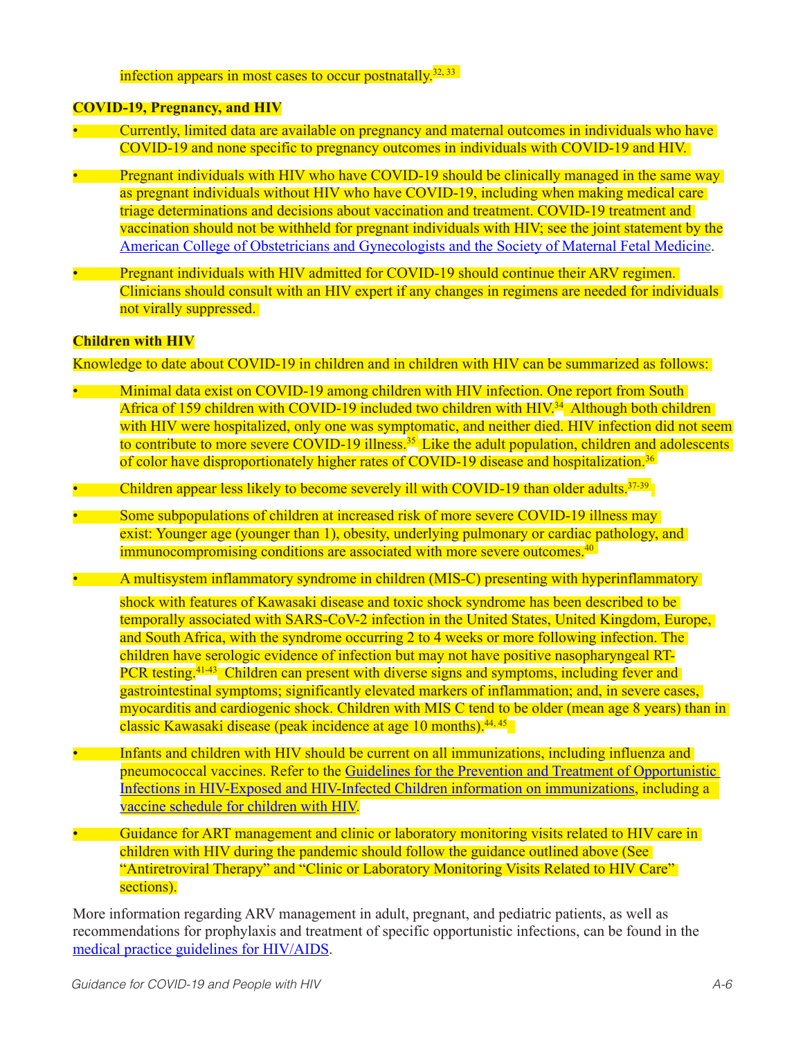infection appears in most cases to occur postnatally.<sup>32, 33</sup>

#### **COVID-19, Pregnancy, and HIV**

- Currently, limited data are available on pregnancy and maternal outcomes in individuals who have COVID-19 and none specific to pregnancy outcomes in individuals with COVID-19 and HIV.
- Pregnant individuals with HIV who have COVID-19 should be clinically managed in the same way as pregnant individuals without HIV who have COVID-19, including when making medical care triage determinations and decisions about vaccination and treatment. COVID-19 treatment and vaccination should not be withheld for pregnant individuals with HIV; see the joint statement by the [American College of Obstetricians and Gynecologists and the Society of Maternal Fetal Medicin](https://www.acog.org/news/news-releases/2021/01/acog-and-smfm-joint-statement-on-who-recommendations-regarding-covid-19-vaccines-and-pregnant-individuals)e.
- Pregnant individuals with HIV admitted for COVID-19 should continue their ARV regimen. Clinicians should consult with an HIV expert if any changes in regimens are needed for individuals not virally suppressed.

#### **Children with HIV**

Knowledge to date about COVID-19 in children and in children with HIV can be summarized as follows:

- Minimal data exist on COVID-19 among children with HIV infection. One report from South Africa of 159 children with COVID-19 included two children with HIV.<sup>34</sup> Although both children with HIV were hospitalized, only one was symptomatic, and neither died. HIV infection did not seem to contribute to more severe COVID-19 illness.<sup>35</sup> Like the adult population, children and adolescents of color have disproportionately higher rates of COVID-19 disease and hospitalization.<sup>36</sup>
- Children appear less likely to become severely ill with COVID-19 than older adults.<sup>37-39</sup>
- Some subpopulations of children at increased risk of more severe COVID-19 illness may exist: Younger age (younger than 1), obesity, underlying pulmonary or cardiac pathology, and immunocompromising conditions are associated with more severe outcomes.<sup>40</sup>
- A multisystem inflammatory syndrome in children (MIS-C) presenting with hyperinflammatory

shock with features of Kawasaki disease and toxic shock syndrome has been described to be temporally associated with SARS-CoV-2 infection in the United States, United Kingdom, Europe, and South Africa, with the syndrome occurring 2 to 4 weeks or more following infection. The children have serologic evidence of infection but may not have positive nasopharyngeal RT-PCR testing.<sup>41-43</sup> Children can present with diverse signs and symptoms, including fever and gastrointestinal symptoms; significantly elevated markers of inflammation; and, in severe cases, myocarditis and cardiogenic shock. Children with MIS C tend to be older (mean age 8 years) than in classic Kawasaki disease (peak incidence at age 10 months).<sup>44, 45</sup>

- Infants and children with HIV should be current on all immunizations, including influenza and pneumococcal vaccines. Refer to the [Guidelines for the Prevention and Treatment of Opportunistic](http://Guidelines for the Prevention and Treatment of Opportunistic Infections in HIV-Exposed and HIV-Infected Children information on immunizations)  [Infections in HIV-Exposed and HIV-Infected Children information on immunizations](http://Guidelines for the Prevention and Treatment of Opportunistic Infections in HIV-Exposed and HIV-Infected Children information on immunizations), including a [vaccine schedule for children with HIV.](https://clinicalinfo.hiv.gov/en/guidelines/pediatric-opportunistic-infection/figure-1-recommended-immunization-schedule-children)
- Guidance for ART management and clinic or laboratory monitoring visits related to HIV care in children with HIV during the pandemic should follow the guidance outlined above (See "Antiretroviral Therapy" and "Clinic or Laboratory Monitoring Visits Related to HIV Care" sections).

More information regarding ARV management in adult, pregnant, and pediatric patients, as well as recommendations for prophylaxis and treatment of specific opportunistic infections, can be found in the [medical practice guidelines for HIV/AIDS.](https://clinicalinfo.hiv.gov/en/guidelines)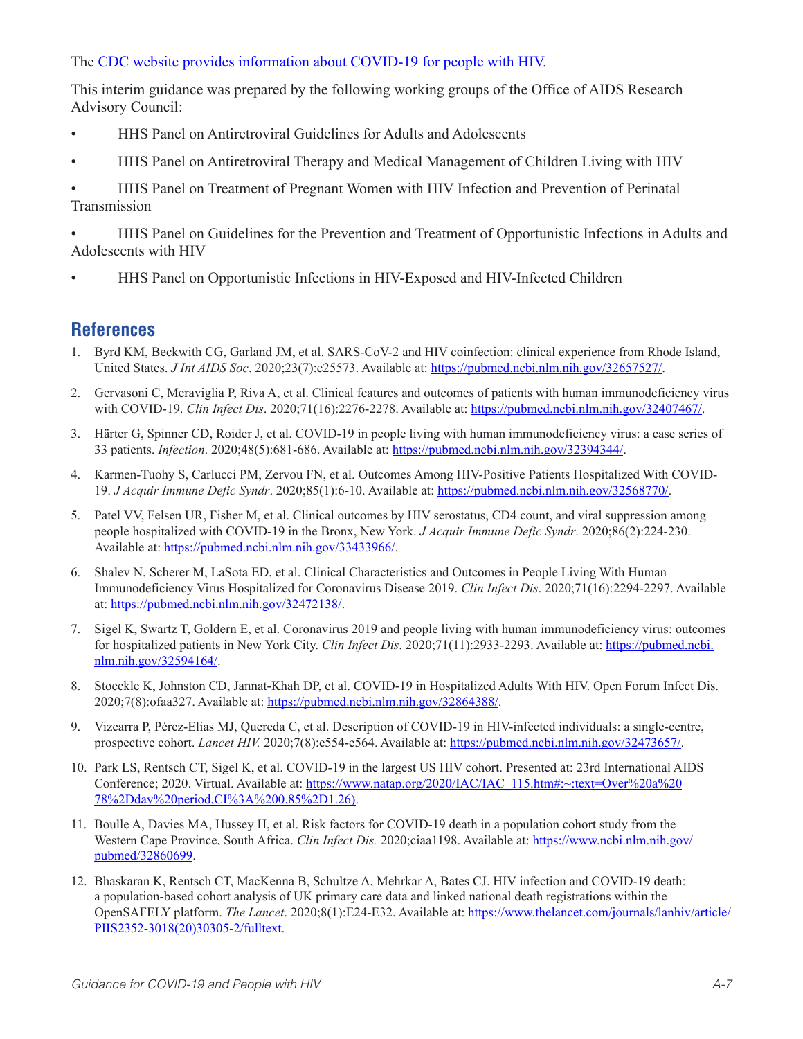The [CDC website provides information about COVID-19 for people with HIV](https://www.cdc.gov/coronavirus/2019-ncov/specific-groups/hiv.html).

This interim guidance was prepared by the following working groups of the Office of AIDS Research Advisory Council:

- HHS Panel on Antiretroviral Guidelines for Adults and Adolescents
- HHS Panel on Antiretroviral Therapy and Medical Management of Children Living with HIV

• HHS Panel on Treatment of Pregnant Women with HIV Infection and Prevention of Perinatal Transmission

• HHS Panel on Guidelines for the Prevention and Treatment of Opportunistic Infections in Adults and Adolescents with HIV

• HHS Panel on Opportunistic Infections in HIV-Exposed and HIV-Infected Children

### **References**

- 1. Byrd KM, Beckwith CG, Garland JM, et al. SARS-CoV-2 and HIV coinfection: clinical experience from Rhode Island, United States. *J Int AIDS Soc*. 2020;23(7):e25573. Available at: [https://pubmed.ncbi.nlm.nih.gov/32657527/.](https://pubmed.ncbi.nlm.nih.gov/32657527/)
- 2. Gervasoni C, Meraviglia P, Riva A, et al. Clinical features and outcomes of patients with human immunodeficiency virus with COVID-19. *Clin Infect Dis*. 2020;71(16):2276-2278. Available at:<https://pubmed.ncbi.nlm.nih.gov/32407467/>.
- 3. Härter G, Spinner CD, Roider J, et al. COVID-19 in people living with human immunodeficiency virus: a case series of 33 patients. *Infection*. 2020;48(5):681-686. Available at:<https://pubmed.ncbi.nlm.nih.gov/32394344/>.
- 4. Karmen-Tuohy S, Carlucci PM, Zervou FN, et al. Outcomes Among HIV-Positive Patients Hospitalized With COVID-19. *J Acquir Immune Defic Syndr*. 2020;85(1):6-10. Available at: [https://pubmed.ncbi.nlm.nih.gov/32568770/.](https://pubmed.ncbi.nlm.nih.gov/32568770/)
- 5. Patel VV, Felsen UR, Fisher M, et al. Clinical outcomes by HIV serostatus, CD4 count, and viral suppression among people hospitalized with COVID-19 in the Bronx, New York. *J Acquir Immune Defic Syndr*. 2020;86(2):224-230. Available at:<https://pubmed.ncbi.nlm.nih.gov/33433966/>.
- 6. Shalev N, Scherer M, LaSota ED, et al. Clinical Characteristics and Outcomes in People Living With Human Immunodeficiency Virus Hospitalized for Coronavirus Disease 2019. *Clin Infect Dis*. 2020;71(16):2294-2297. Available at: [https://pubmed.ncbi.nlm.nih.gov/32472138/.](https://pubmed.ncbi.nlm.nih.gov/32472138/)
- 7. Sigel K, Swartz T, Goldern E, et al. Coronavirus 2019 and people living with human immunodeficiency virus: outcomes for hospitalized patients in New York City. *Clin Infect Dis*. 2020;71(11):2933-2293. Available at: [https://pubmed.ncbi.](https://pubmed.ncbi.nlm.nih.gov/32594164/) [nlm.nih.gov/32594164/.](https://pubmed.ncbi.nlm.nih.gov/32594164/)
- 8. Stoeckle K, Johnston CD, Jannat-Khah DP, et al. COVID-19 in Hospitalized Adults With HIV. Open Forum Infect Dis. 2020;7(8):ofaa327. Available at:<https://pubmed.ncbi.nlm.nih.gov/32864388/>.
- 9. Vizcarra P, Pérez-Elías MJ, Quereda C, et al. Description of COVID-19 in HIV-infected individuals: a single-centre, prospective cohort. *Lancet HIV.* 2020;7(8):e554-e564. Available at:<https://pubmed.ncbi.nlm.nih.gov/32473657/>.
- 10. Park LS, Rentsch CT, Sigel K, et al. COVID-19 in the largest US HIV cohort. Presented at: 23rd International AIDS Conference; 2020. Virtual. Available at: [https://www.natap.org/2020/IAC/IAC\\_115.htm#:](https://www.natap.org/2020/IAC/IAC_115.htm#:~:text=Over%20a%2078%2Dday%20period,CI%3A%200.85%2D1.26))~:text=Over%20a%20 78%2Dday%20period,CI%3A%200.85%2D1.26).
- 11. Boulle A, Davies MA, Hussey H, et al. Risk factors for COVID-19 death in a population cohort study from the Western Cape Province, South Africa. *Clin Infect Dis.* 2020;ciaa1198. Available at: [https://www.ncbi.nlm.nih.gov/](https://www.ncbi.nlm.nih.gov/pubmed/32860699) [pubmed/32860699.](https://www.ncbi.nlm.nih.gov/pubmed/32860699)
- 12. Bhaskaran K, Rentsch CT, MacKenna B, Schultze A, Mehrkar A, Bates CJ. HIV infection and COVID-19 death: a population-based cohort analysis of UK primary care data and linked national death registrations within the OpenSAFELY platform. *The Lancet*. 2020;8(1):E24-E32. Available at: [https://www.thelancet.com/journals/lanhiv/article/](https://www.thelancet.com/journals/lanhiv/article/PIIS2352-3018(20)30305-2/fulltext) [PIIS2352-3018\(20\)30305-2/fulltext.](https://www.thelancet.com/journals/lanhiv/article/PIIS2352-3018(20)30305-2/fulltext)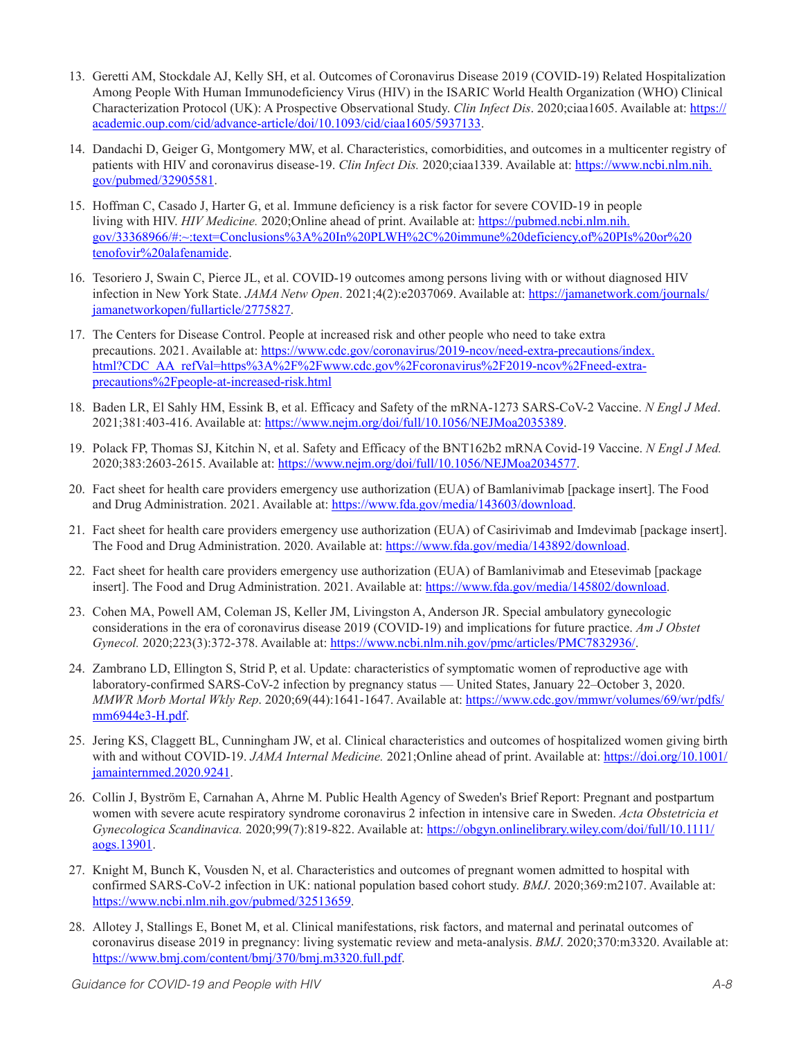- 13. Geretti AM, Stockdale AJ, Kelly SH, et al. Outcomes of Coronavirus Disease 2019 (COVID-19) Related Hospitalization Among People With Human Immunodeficiency Virus (HIV) in the ISARIC World Health Organization (WHO) Clinical Characterization Protocol (UK): A Prospective Observational Study. *Clin Infect Dis*. 2020;ciaa1605. Available at: [https://](https://academic.oup.com/cid/advance-article/doi/10.1093/cid/ciaa1605/5937133) [academic.oup.com/cid/advance-article/doi/10.1093/cid/ciaa1605/5937133.](https://academic.oup.com/cid/advance-article/doi/10.1093/cid/ciaa1605/5937133)
- 14. Dandachi D, Geiger G, Montgomery MW, et al. Characteristics, comorbidities, and outcomes in a multicenter registry of patients with HIV and coronavirus disease-19. *Clin Infect Dis.* 2020;ciaa1339. Available at: [https://www.ncbi.nlm.nih.](https://www.ncbi.nlm.nih.gov/pubmed/32905581) [gov/pubmed/32905581](https://www.ncbi.nlm.nih.gov/pubmed/32905581).
- 15. Hoffman C, Casado J, Harter G, et al. Immune deficiency is a risk factor for severe COVID‐19 in people living with HIV. *HIV Medicine.* 2020;Online ahead of print. Available at: [https://pubmed.ncbi.nlm.nih.](https://pubmed.ncbi.nlm.nih.gov/33368966/#:~:text=Conclusions%3A%20In%20PLWH%2C%20immune%20deficiency,of%20PIs%20or%20tenofovir%20alafenamide) [gov/33368966/#:~:text=Conclusions%3A%20In%20PLWH%2C%20immune%20deficiency,of%20PIs%20or%20](https://pubmed.ncbi.nlm.nih.gov/33368966/#:~:text=Conclusions%3A%20In%20PLWH%2C%20immune%20deficiency,of%20PIs%20or%20tenofovir%20alafenamide) [tenofovir%20alafenamide](https://pubmed.ncbi.nlm.nih.gov/33368966/#:~:text=Conclusions%3A%20In%20PLWH%2C%20immune%20deficiency,of%20PIs%20or%20tenofovir%20alafenamide).
- 16. Tesoriero J, Swain C, Pierce JL, et al. COVID-19 outcomes among persons living with or without diagnosed HIV infection in New York State. *JAMA Netw Open*. 2021;4(2):e2037069. Available at: [https://jamanetwork.com/journals/](https://jamanetwork.com/journals/jamanetworkopen/fullarticle/2775827) [jamanetworkopen/fullarticle/2775827.](https://jamanetwork.com/journals/jamanetworkopen/fullarticle/2775827)
- 17. The Centers for Disease Control. People at increased risk and other people who need to take extra precautions. 2021. Available at: [https://www.cdc.gov/coronavirus/2019-ncov/need-extra-precautions/index.](https://www.cdc.gov/coronavirus/2019-ncov/need-extra-precautions/index.html?CDC_AA_refVal=https%3A%2F%2Fwww.cdc.gov%2Fcoronavirus%2F2019-ncov%2Fneed-extra-precautions%2Fpeople-at-increased-risk.html) [html?CDC\\_AA\\_refVal=https%3A%2F%2Fwww.cdc.gov%2Fcoronavirus%2F2019-ncov%2Fneed-extra](https://www.cdc.gov/coronavirus/2019-ncov/need-extra-precautions/index.html?CDC_AA_refVal=https%3A%2F%2Fwww.cdc.gov%2Fcoronavirus%2F2019-ncov%2Fneed-extra-precautions%2Fpeople-at-increased-risk.html)[precautions%2Fpeople-at-increased-risk.html](https://www.cdc.gov/coronavirus/2019-ncov/need-extra-precautions/index.html?CDC_AA_refVal=https%3A%2F%2Fwww.cdc.gov%2Fcoronavirus%2F2019-ncov%2Fneed-extra-precautions%2Fpeople-at-increased-risk.html)
- 18. Baden LR, El Sahly HM, Essink B, et al. Efficacy and Safety of the mRNA-1273 SARS-CoV-2 Vaccine. *N Engl J Med*. 2021;381:403-416. Available at: [https://www.nejm.org/doi/full/10.1056/NEJMoa2035389.](https://www.nejm.org/doi/full/10.1056/NEJMoa2035389)
- 19. Polack FP, Thomas SJ, Kitchin N, et al. Safety and Efficacy of the BNT162b2 mRNA Covid-19 Vaccine. *N Engl J Med.* 2020;383:2603-2615. Available at: [https://www.nejm.org/doi/full/10.1056/NEJMoa2034577.](https://www.nejm.org/doi/full/10.1056/NEJMoa2034577)
- 20. Fact sheet for health care providers emergency use authorization (EUA) of Bamlanivimab [package insert]. The Food and Drug Administration. 2021. Available at: [https://www.fda.gov/media/143603/download.](https://www.fda.gov/media/143603/download)
- 21. Fact sheet for health care providers emergency use authorization (EUA) of Casirivimab and Imdevimab [package insert]. The Food and Drug Administration. 2020. Available at:<https://www.fda.gov/media/143892/download>.
- 22. Fact sheet for health care providers emergency use authorization (EUA) of Bamlanivimab and Etesevimab [package insert]. The Food and Drug Administration. 2021. Available at: <https://www.fda.gov/media/145802/download>.
- 23. Cohen MA, Powell AM, Coleman JS, Keller JM, Livingston A, Anderson JR. Special ambulatory gynecologic considerations in the era of coronavirus disease 2019 (COVID-19) and implications for future practice. *Am J Obstet Gynecol.* 2020;223(3):372-378. Available at: [https://www.ncbi.nlm.nih.gov/pmc/articles/PMC7832936/.](https://www.ncbi.nlm.nih.gov/pmc/articles/PMC7832936/)
- 24. Zambrano LD, Ellington S, Strid P, et al. Update: characteristics of symptomatic women of reproductive age with laboratory-confirmed SARS-CoV-2 infection by pregnancy status — United States, January 22–October 3, 2020. *MMWR Morb Mortal Wkly Rep*. 2020;69(44):1641-1647. Available at: [https://www.cdc.gov/mmwr/volumes/69/wr/pdfs/](https://www.cdc.gov/mmwr/volumes/69/wr/pdfs/mm6944e3-H.pdf) [mm6944e3-H.pdf.](https://www.cdc.gov/mmwr/volumes/69/wr/pdfs/mm6944e3-H.pdf)
- 25. Jering KS, Claggett BL, Cunningham JW, et al. Clinical characteristics and outcomes of hospitalized women giving birth with and without COVID-19. *JAMA Internal Medicine.* 2021;Online ahead of print. Available at: [https://doi.org/10.1001/](https://doi.org/10.1001/jamainternmed.2020.9241) [jamainternmed.2020.9241.](https://doi.org/10.1001/jamainternmed.2020.9241)
- 26. Collin J, Byström E, Carnahan A, Ahrne M. Public Health Agency of Sweden's Brief Report: Pregnant and postpartum women with severe acute respiratory syndrome coronavirus 2 infection in intensive care in Sweden. *Acta Obstetricia et Gynecologica Scandinavica.* 2020;99(7):819-822. Available at: [https://obgyn.onlinelibrary.wiley.com/doi/full/10.1111/](https://obgyn.onlinelibrary.wiley.com/doi/full/10.1111/aogs.13901) [aogs.13901](https://obgyn.onlinelibrary.wiley.com/doi/full/10.1111/aogs.13901).
- 27. Knight M, Bunch K, Vousden N, et al. Characteristics and outcomes of pregnant women admitted to hospital with confirmed SARS-CoV-2 infection in UK: national population based cohort study. *BMJ*. 2020;369:m2107. Available at: [https://www.ncbi.nlm.nih.gov/pubmed/32513659.](https://www.ncbi.nlm.nih.gov/pubmed/32513659)
- 28. Allotey J, Stallings E, Bonet M, et al. Clinical manifestations, risk factors, and maternal and perinatal outcomes of coronavirus disease 2019 in pregnancy: living systematic review and meta-analysis. *BMJ*. 2020;370:m3320. Available at: <https://www.bmj.com/content/bmj/370/bmj.m3320.full.pdf>.